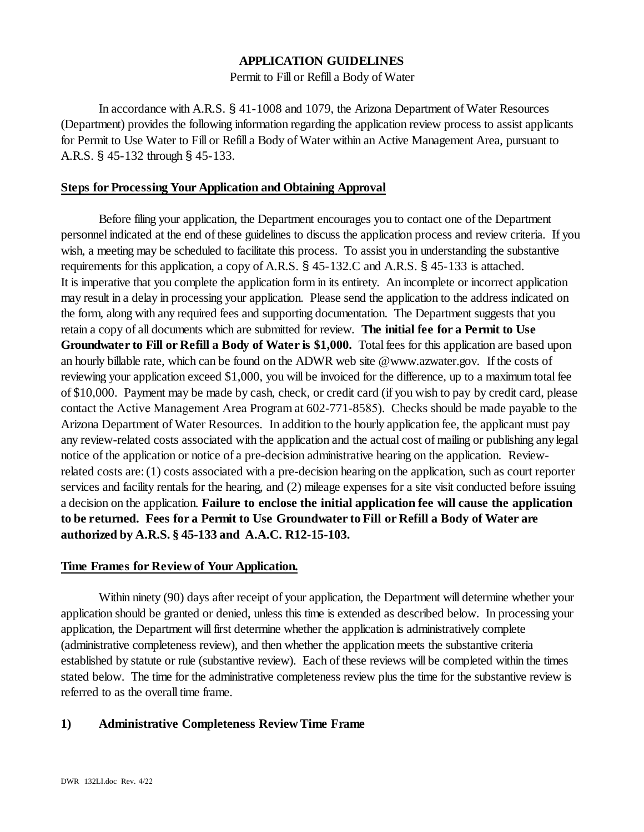# **APPLICATION GUIDELINES**

### Permit to Fill or Refill a Body of Water

In accordance with A.R.S. § 41-1008 and 1079, the Arizona Department of Water Resources (Department) provides the following information regarding the application review process to assist applicants for Permit to Use Water to Fill or Refill a Body of Water within an Active Management Area, pursuant to A.R.S. § 45-132 through § 45-133.

## **Steps for Processing Your Application and Obtaining Approval**

Before filing your application, the Department encourages you to contact one of the Department personnel indicated at the end of these guidelines to discuss the application process and review criteria. If you wish, a meeting may be scheduled to facilitate this process. To assist you in understanding the substantive requirements for this application, a copy of A.R.S. § 45-132.C and A.R.S. § 45-133 is attached. It is imperative that you complete the application form in its entirety. An incomplete or incorrect application may result in a delay in processing your application. Please send the application to the address indicated on the form, along with any required fees and supporting documentation. The Department suggests that you retain a copy of all documents which are submitted for review. **The initial fee for a Permit to Use Groundwater to Fill or Refill a Body of Water is \$1,000.** Total fees for this application are based upon an hourly billable rate, which can be found on the ADWR web site @www.azwater.gov. If the costs of reviewing your application exceed \$1,000, you will be invoiced for the difference, up to a maximum total fee of \$10,000. Payment may be made by cash, check, or credit card (if you wish to pay by credit card, please contact the Active Management Area Program at 602-771-8585). Checks should be made payable to the Arizona Department of Water Resources. In addition to the hourly application fee, the applicant must pay any review-related costs associated with the application and the actual cost of mailing or publishing anylegal notice of the application or notice of a pre-decision administrative hearing on the application. Reviewrelated costs are: (1) costs associated with a pre-decision hearing on the application, such as court reporter services and facility rentals for the hearing, and (2) mileage expenses for a site visit conducted before issuing a decision on the application. **Failure to enclose the initial application fee will cause the application to be returned. Fees for a Permit to Use Groundwater to Fill or Refill a Body of Water are authorized by A.R.S. § 45-133 and A.A.C. R12-15-103.** 

### **Time Frames for Review of Your Application.**

Within ninety (90) days after receipt of your application, the Department will determine whether your application should be granted or denied, unless this time is extended as described below. In processing your application, the Department will first determine whether the application is administratively complete (administrative completeness review), and then whether the application meets the substantive criteria established by statute or rule (substantive review). Each of these reviews will be completed within the times stated below. The time for the administrative completeness review plus the time for the substantive review is referred to as the overall time frame.

## **1) Administrative Completeness Review Time Frame**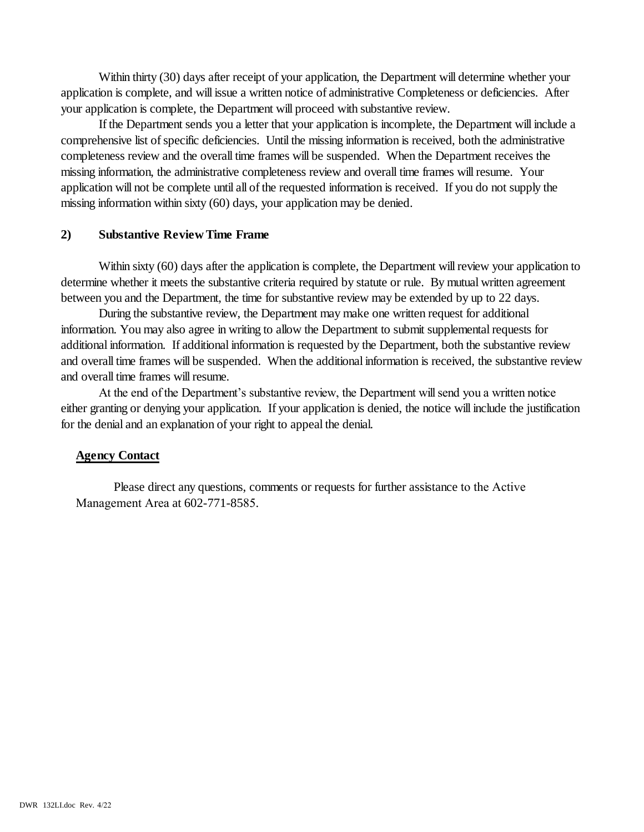Within thirty (30) days after receipt of your application, the Department will determine whether your application is complete, and will issue a written notice of administrative Completeness or deficiencies. After your application is complete, the Department will proceed with substantive review.

If the Department sends you a letter that your application is incomplete, the Department will include a comprehensive list of specific deficiencies. Until the missing information is received, both the administrative completeness review and the overall time frames will be suspended. When the Department receives the missing information, the administrative completeness review and overall time frames will resume. Your application will not be complete until all of the requested information is received. If you do not supply the missing information within sixty (60) days, your application may be denied.

### **2) Substantive Review Time Frame**

Within sixty (60) days after the application is complete, the Department will review your application to determine whether it meets the substantive criteria required by statute or rule. By mutual written agreement between you and the Department, the time for substantive review may be extended by up to 22 days.

During the substantive review, the Department may make one written request for additional information. You may also agree in writing to allow the Department to submit supplemental requests for additional information. If additional information is requested by the Department, both the substantive review and overall time frames will be suspended. When the additional information is received, the substantive review and overall time frames will resume.

At the end of the Department's substantive review, the Department will send you a written notice either granting or denying your application. If your application is denied, the notice will include the justification for the denial and an explanation of your right to appeal the denial.

## **Agency Contact**

Please direct any questions, comments or requests for further assistance to the Active Management Area at 602-771-8585.